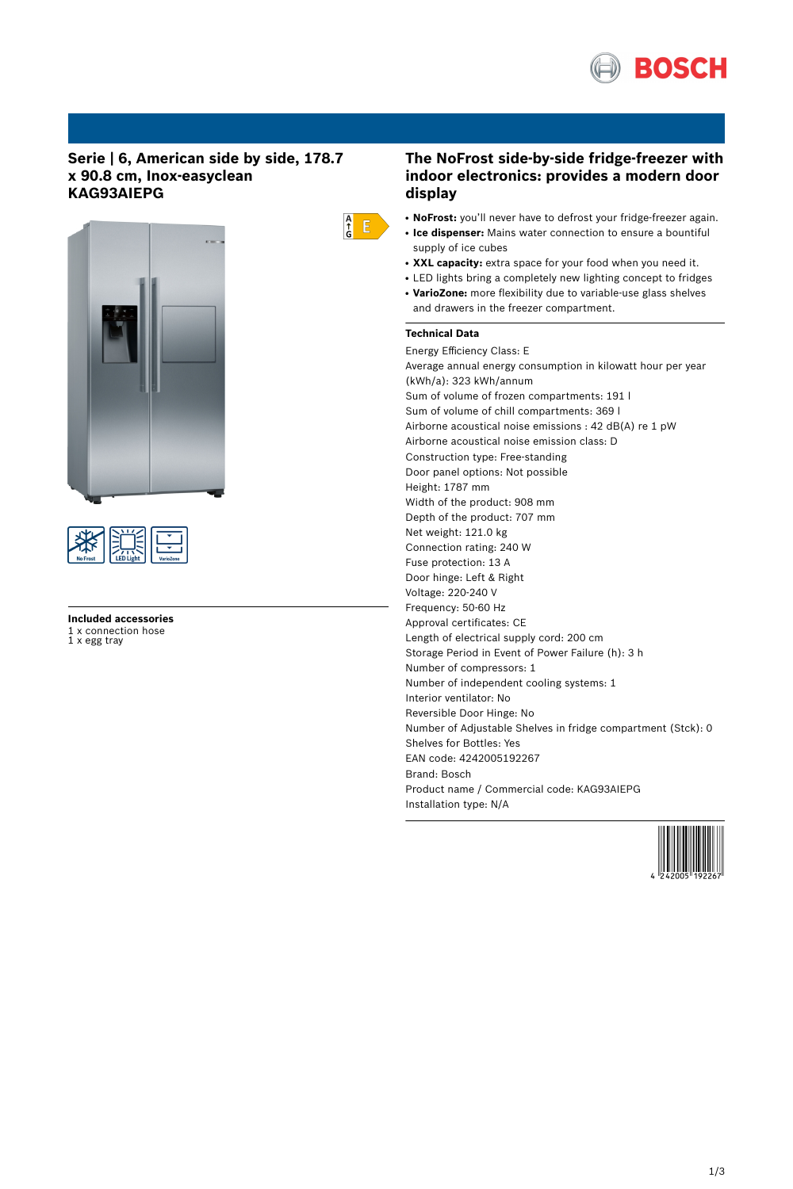

## **Serie | 6, American side by side, 178.7 x 90.8 cm, Inox-easyclean KAG93AIEPG**





**Included accessories** 1 x connection hose 1 x egg tray

# $\begin{array}{c} A \\ \uparrow \\ G \end{array}$   $E$

- **The NoFrost side-by-side fridge-freezer with indoor electronics: provides a modern door display**
- NoFrost: you'll never have to defrost your fridge-freezer again.
- **Ice dispenser:** Mains water connection to ensure a bountiful supply of ice cubes
- XXL capacity: extra space for your food when you need it.
- LED lights bring a completely new lighting concept to fridges
- VarioZone: more flexibility due to variable-use glass shelves and drawers in the freezer compartment.

### **Technical Data**

Energy Efficiency Class: E Average annual energy consumption in kilowatt hour per year (kWh/a): 323 kWh/annum Sum of volume of frozen compartments: 191 l Sum of volume of chill compartments: 369 l Airborne acoustical noise emissions : 42 dB(A) re 1 pW Airborne acoustical noise emission class: D Construction type: Free-standing Door panel options: Not possible Height: 1787 mm Width of the product: 908 mm Depth of the product: 707 mm Net weight: 121.0 kg Connection rating: 240 W Fuse protection: 13 A Door hinge: Left & Right Voltage: 220-240 V Frequency: 50-60 Hz Approval certificates: CE Length of electrical supply cord: 200 cm Storage Period in Event of Power Failure (h): 3 h Number of compressors: 1 Number of independent cooling systems: 1 Interior ventilator: No Reversible Door Hinge: No Number of Adjustable Shelves in fridge compartment (Stck): 0 Shelves for Bottles: Yes EAN code: 4242005192267 Brand: Bosch Product name / Commercial code: KAG93AIEPG Installation type: N/A

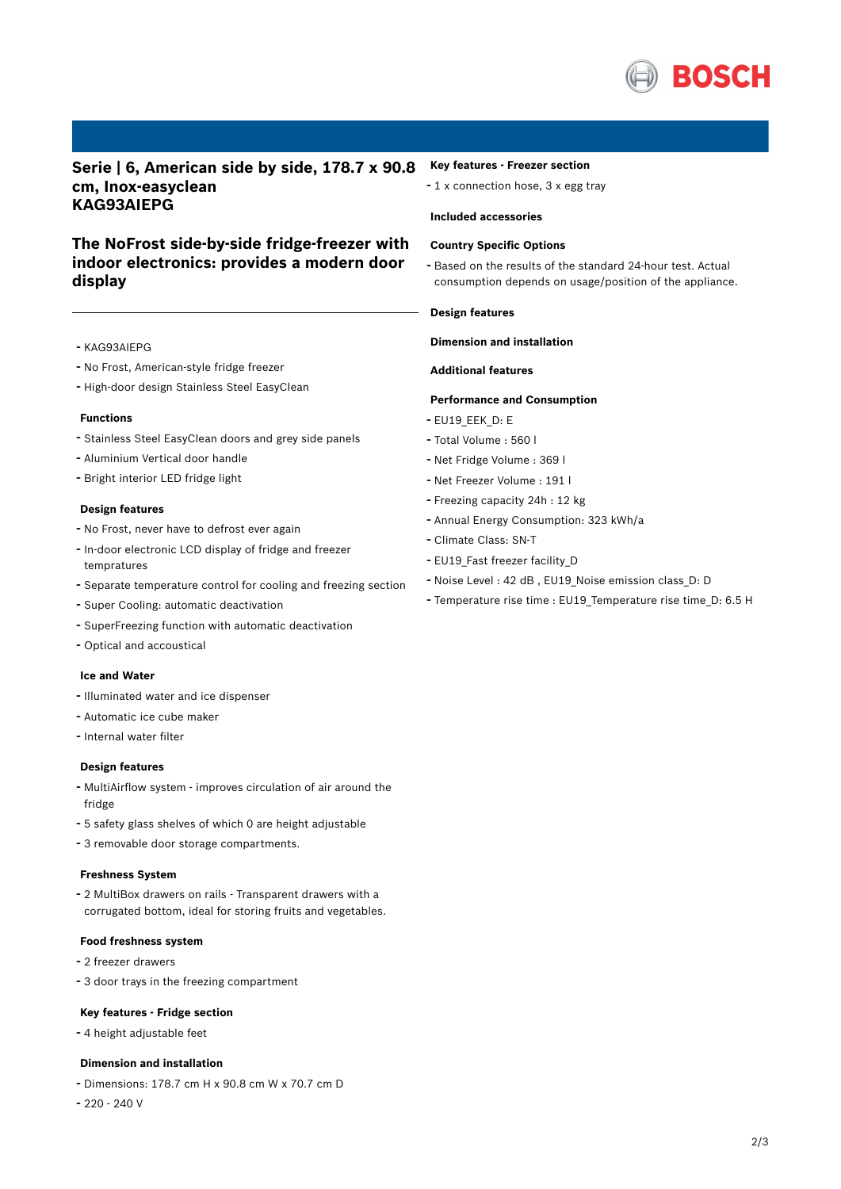

**Serie | 6, American side by side, 178.7 x 90.8 cm, Inox-easyclean KAG93AIEPG**

## **The NoFrost side-by-side fridge-freezer with indoor electronics: provides a modern door display**

- KAG93AIEPG
- No Frost, American-style fridge freezer
- High-door design Stainless Steel EasyClean

#### **Functions**

- Stainless Steel EasyClean doors and grey side panels
- Aluminium Vertical door handle
- Bright interior LED fridge light

#### **Design features**

- No Frost, never have to defrost ever again
- In-door electronic LCD display of fridge and freezer tempratures
- Separate temperature control for cooling and freezing section
- Super Cooling: automatic deactivation
- SuperFreezing function with automatic deactivation
- Optical and accoustical

#### **Ice and Water**

- Illuminated water and ice dispenser
- Automatic ice cube maker
- Internal water filter

#### **Design features**

- MultiAirflow system improves circulation of air around the fridge
- <sup>5</sup> safety glass shelves of which <sup>0</sup> are height adjustable
- <sup>3</sup> removable door storage compartments.

#### **Freshness System**

- <sup>2</sup> MultiBox drawers on rails - Transparent drawers with <sup>a</sup> corrugated bottom, ideal for storing fruits and vegetables.

#### **Food freshness system**

- <sup>2</sup> freezer drawers
- <sup>3</sup> door trays in the freezing compartment

#### **Key features - Fridge section**

- <sup>4</sup> height adjustable feet

#### **Dimension and installation**

- Dimensions: 178.7 cm H x 90.8 cm W x 70.7 cm D
- 220 240 V

#### **Key features - Freezer section**

- <sup>1</sup> <sup>x</sup> connection hose, <sup>3</sup> <sup>x</sup> egg tray

#### **Included accessories**

#### **Country Specific Options**

- Based on the results of the standard 24-hour test. Actual consumption depends on usage/position of the appliance.

#### **Design features**

#### **Dimension and installation**

#### **Additional features**

#### **Performance and Consumption**

- EU19\_EEK\_D: E
- Total Volume : <sup>560</sup> <sup>l</sup>
- Net Fridge Volume : <sup>369</sup> <sup>l</sup>
- Net Freezer Volume : <sup>191</sup> <sup>l</sup>
- Freezing capacity 24h : <sup>12</sup> kg
- Annual Energy Consumption: <sup>323</sup> kWh/a
- Climate Class: SN-T
- EU19\_Fast freezer facility\_D
- Noise Level : <sup>42</sup> dB , EU19\_Noise emission class\_D: <sup>D</sup>
- Temperature rise time : EU19\_Temperature rise time\_D: 6.5 <sup>H</sup>